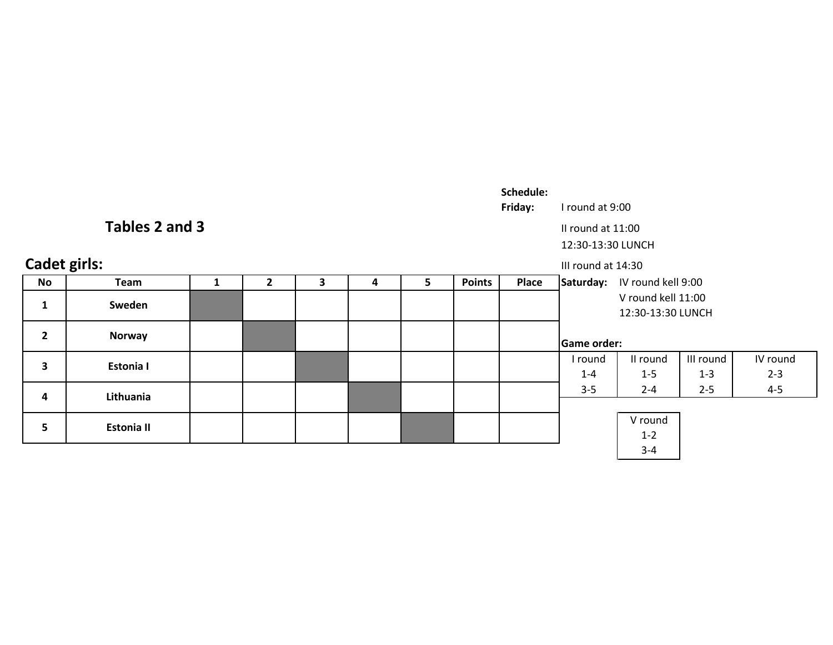| Schedule: |
|-----------|
|-----------|

Friday:I round at 9:00

II round at 11:00

12:30-13:30 LUNCH

| <b>Cadet girls:</b> |                   |  |  |    |               |       | III round at 14:30                      |                              |           |          |  |
|---------------------|-------------------|--|--|----|---------------|-------|-----------------------------------------|------------------------------|-----------|----------|--|
| <b>No</b>           | Team              |  |  | 5. | <b>Points</b> | Place |                                         | Saturday: IV round kell 9:00 |           |          |  |
| J.                  | Sweden            |  |  |    |               |       | V round kell 11:00<br>12:30-13:30 LUNCH |                              |           |          |  |
| $\overline{2}$      | Norway            |  |  |    |               |       | <b>Game order:</b>                      |                              |           |          |  |
| 3                   | <b>Estonia I</b>  |  |  |    |               |       | I round                                 | II round                     | III round | IV round |  |
|                     |                   |  |  |    |               |       | $1 - 4$                                 | $1 - 5$                      | $1 - 3$   | $2 - 3$  |  |
| 4                   | Lithuania         |  |  |    |               |       | $3 - 5$                                 | $2 - 4$                      | $2 - 5$   | $4 - 5$  |  |
|                     |                   |  |  |    |               |       |                                         |                              |           |          |  |
| 5                   | <b>Estonia II</b> |  |  |    |               |       |                                         | V round                      |           |          |  |
|                     |                   |  |  |    |               |       |                                         | $1 - 2$                      |           |          |  |
|                     |                   |  |  |    |               |       |                                         | $3 - 4$                      |           |          |  |

# Tables 2 and 3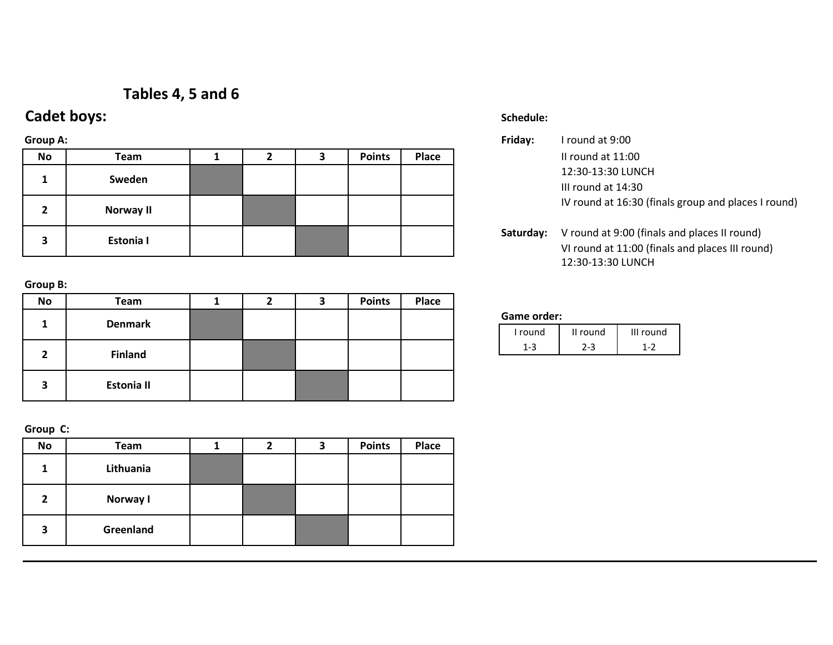# Tables 4, 5 and 6

# Cadet boys:

## Group A:

| No | Team      |  | З | <b>Points</b> | <b>Place</b> |           | Il round at 11:00                   |
|----|-----------|--|---|---------------|--------------|-----------|-------------------------------------|
|    | Sweden    |  |   |               |              |           | 12:30-13:30 LUN                     |
|    |           |  |   |               |              |           | III round at 14:30                  |
|    | Norway II |  |   |               |              |           | IV round at 16:3                    |
|    | Estonia I |  |   |               |              | Saturday: | V round at 9:00<br>VI round at 11:0 |

Group B:

| <b>No</b>    | <b>Team</b>       | 2 | 3 | <b>Points</b> | Place |
|--------------|-------------------|---|---|---------------|-------|
| 1            | <b>Denmark</b>    |   |   |               |       |
| $\mathbf{2}$ | <b>Finland</b>    |   |   |               |       |
| 3            | <b>Estonia II</b> |   |   |               |       |

Group C:

| <b>No</b>      | Team      | 2 | 3 | <b>Points</b> | <b>Place</b> |
|----------------|-----------|---|---|---------------|--------------|
| 1              | Lithuania |   |   |               |              |
| $\overline{2}$ | Norway I  |   |   |               |              |
| 3              | Greenland |   |   |               |              |

## **Schedule: And Schedule: And Schedule:** And Schedule: And Schedule: And Schedule: And Schedule: And Schedule: An

|           |  |               |       | Friday: | I round at 9:00                                     |
|-----------|--|---------------|-------|---------|-----------------------------------------------------|
| Team      |  | <b>Points</b> | Place |         | II round at 11:00                                   |
| Sweden    |  |               |       |         | 12:30-13:30 LUNCH<br>III round at 14:30             |
| Norway II |  |               |       |         | IV round at 16:30 (finals group and places I round) |

Saturday: V round at 9:00 (finals and places II round) VI round at 11:00 (finals and places III round)12:30-13:30 LUNCH

### Game order:

| I round | II round | III round |
|---------|----------|-----------|
|         |          |           |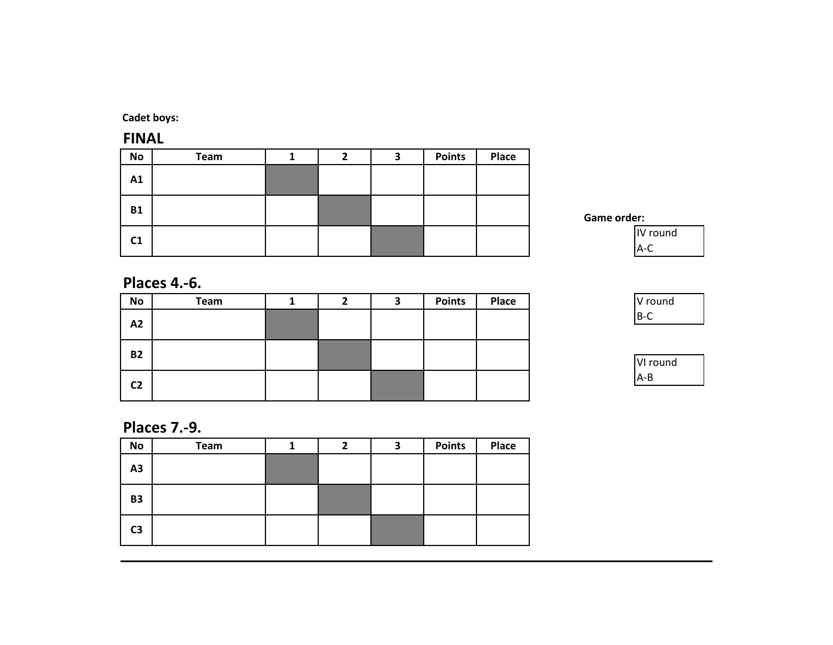Cadet boys:

FINALNo Team <sup>1</sup> <sup>2</sup> <sup>3</sup> Points Place A1B1 $C1$ 

Game order:



# Places 4.-6.

| No             | Team | ∠ | З | <b>Points</b> | Place |
|----------------|------|---|---|---------------|-------|
| A2             |      |   |   |               |       |
| <b>B2</b>      |      |   |   |               |       |
| C <sub>2</sub> |      |   |   |               |       |

| V round |  |
|---------|--|
| Ρ       |  |



# Places 7.-9.

| No             | Team | 2 | З | <b>Points</b> | Place |
|----------------|------|---|---|---------------|-------|
| A3             |      |   |   |               |       |
| <b>B3</b>      |      |   |   |               |       |
| C <sub>3</sub> |      |   |   |               |       |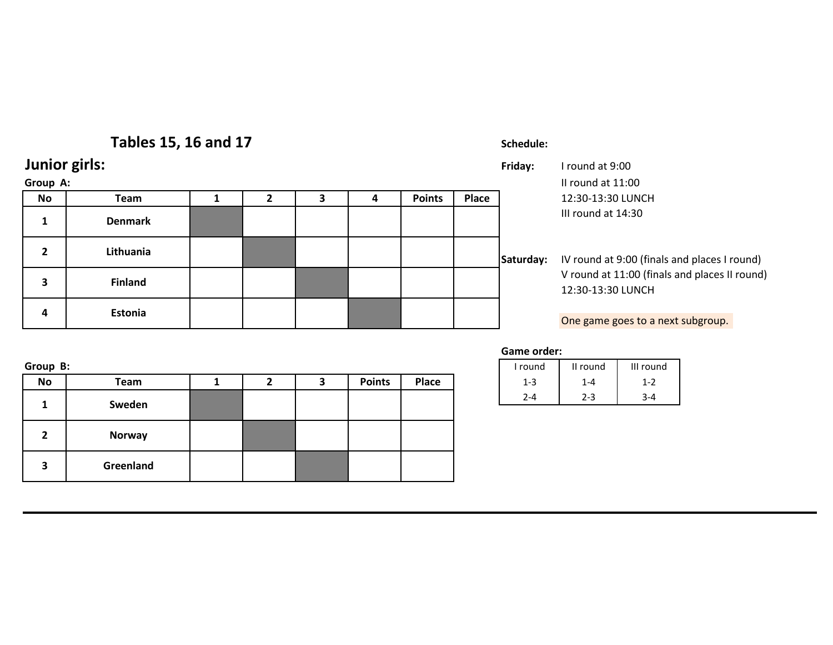# Tables 15, 16 and 17

# Junior girls:

## Group A:

| Group A: |                |  |  |               |       |           | Il round at 11:00                         |  |
|----------|----------------|--|--|---------------|-------|-----------|-------------------------------------------|--|
| No       | Team           |  |  | <b>Points</b> | Place |           | 12:30-13:30 LUNCH                         |  |
|          | <b>Denmark</b> |  |  |               |       |           | III round at 14:30                        |  |
|          | Lithuania      |  |  |               |       | Saturday: | IV round at 9:00 (fir                     |  |
| 3        | <b>Finland</b> |  |  |               |       |           | V round at 11:00 (fi<br>12:30-13:30 LUNCH |  |
| 4        | Estonia        |  |  |               |       |           |                                           |  |
|          |                |  |  |               |       |           | One game goes to a                        |  |

## Schedule:

 Friday: I round at 9:0012:30-13:30 LUNCH III round at 14:30

## Saturday: IV round at 9:00 (finals and places I round) V round at 11:00 (finals and places II round)12:30-13:30 LUNCH

One game goes to a next subgroup.

Game order:

|        |  |               |       | round   | II round | III round                       |
|--------|--|---------------|-------|---------|----------|---------------------------------|
| Team   |  | <b>Points</b> | Place | - 15    | $1 - 4$  | 1-2                             |
| Swadan |  |               |       | $2 - 4$ | $2 - 3$  | $\overline{\phantom{a}}$<br>3-4 |

| Group | к. |  |
|-------|----|--|
|       |    |  |

| <b>No</b> | Team          |  | ∍<br>э | <b>Points</b> | Place | $1 - 3$ | $1 - 4$ | $1 - 2$ |
|-----------|---------------|--|--------|---------------|-------|---------|---------|---------|
|           | Sweden        |  |        |               |       | $2 - 4$ | $2 - 3$ | $3 - 4$ |
| 2         | <b>Norway</b> |  |        |               |       |         |         |         |
| 3         | Greenland     |  |        |               |       |         |         |         |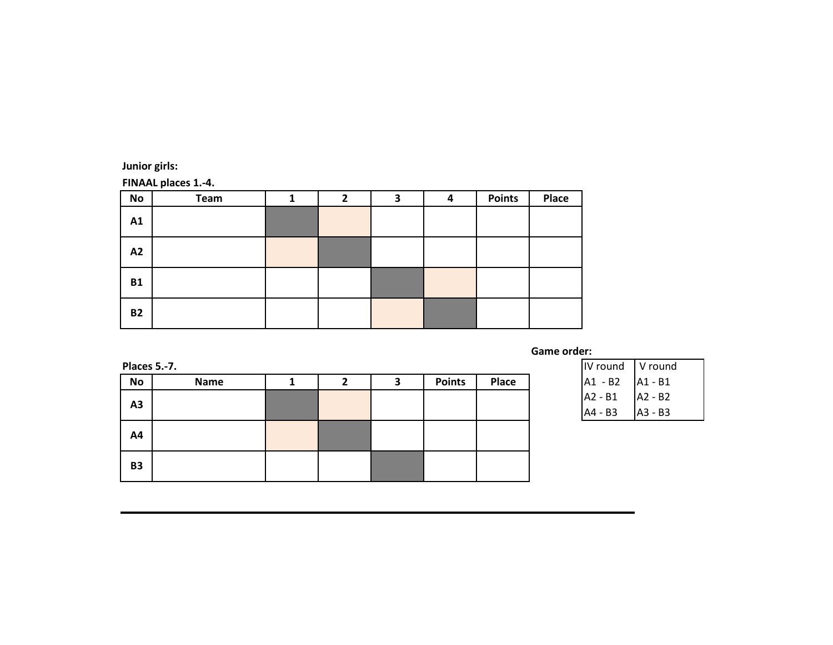Junior girls:

FINAAL places 1.-4.

| No        | Team | $\mathbf{2}$ | 3 | 4 | <b>Points</b> | Place |
|-----------|------|--------------|---|---|---------------|-------|
| A1        |      |              |   |   |               |       |
| A2        |      |              |   |   |               |       |
| <b>B1</b> |      |              |   |   |               |       |
| <b>B2</b> |      |              |   |   |               |       |

Places 5.-7.

| <b>Places 5.-7.</b> |             |  |               |       | IV round  | ∣ V round |
|---------------------|-------------|--|---------------|-------|-----------|-----------|
| No                  | <b>Name</b> |  | <b>Points</b> | Place | $A1 - B2$ | $A1 - B1$ |
| A3                  |             |  |               |       | $A2 - B1$ | A2 - B2   |
|                     |             |  |               |       | A4 - B3   | A3 - B3   |
| A4                  |             |  |               |       |           |           |
| <b>B3</b>           |             |  |               |       |           |           |

| IV round | V round   |
|----------|-----------|
| A1 - B2  | A1 - B1   |
| A2 - B1  | $A2 - B2$ |
| A4 - B3  | IA3 - B3  |

Game order: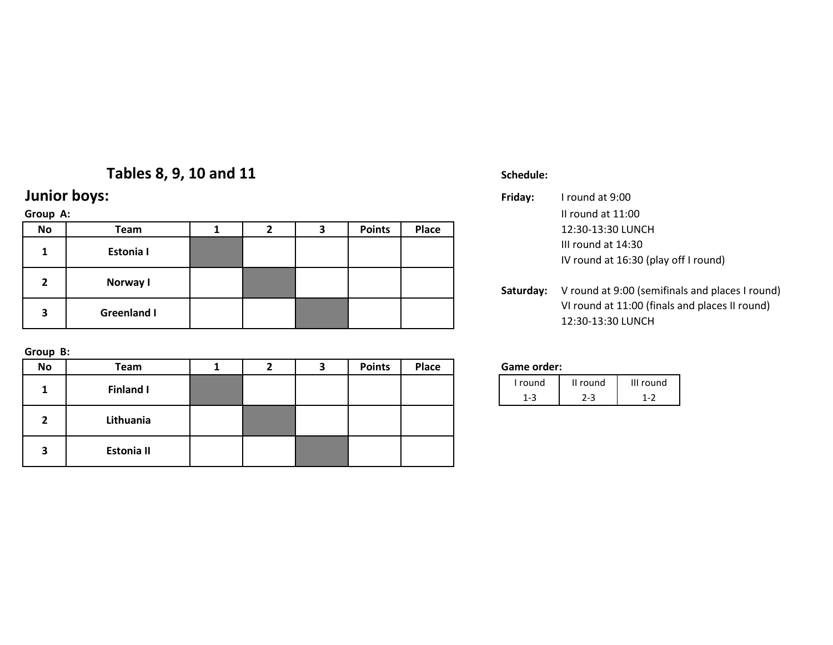# Tables 8, 9, 10 and 11

# Junior boys:

## Group A:

| No | Team               |  | <b>Points</b> | Place |           | 12:30-13:30 LUNCH                          |
|----|--------------------|--|---------------|-------|-----------|--------------------------------------------|
|    | Estonia I          |  |               |       |           | III round at 14:30<br>IV round at 16:30 (p |
| 2  | Norway I           |  |               |       | Saturday: | V round at 9:00 (ser                       |
| з  | <b>Greenland I</b> |  |               |       |           | VI round at 11:00 (f<br>12:30-13:30 LUNCH  |

Group B:

| <b>No</b> | Team             | 2 | ,<br>∍ | <b>Points</b> | Place | Game order: |
|-----------|------------------|---|--------|---------------|-------|-------------|
|           | <b>Finland I</b> |   |        |               |       | I round     |
|           |                  |   |        |               |       | $1 - 3$     |
| כ         | Lithuania        |   |        |               |       |             |
| 3         | Estonia II       |   |        |               |       |             |

## Schedule:

| boys:            |  |               |       | Friday:   | I round at 9:00                                            |
|------------------|--|---------------|-------|-----------|------------------------------------------------------------|
|                  |  |               |       |           | II round at $11:00$                                        |
| Team             |  | <b>Points</b> | Place |           | 12:30-13:30 LUNCH                                          |
| <b>Estonia I</b> |  |               |       |           | III round at 14:30<br>IV round at 16:30 (play off I round) |
| Norway I         |  |               |       | Saturday: | V round at 9:00 (semifinals and places I round)            |

VI round at 11:00 (finals and places II round)12:30-13:30 LUNCH

| I round | II round | III round |
|---------|----------|-----------|
|         |          | ر - ۱     |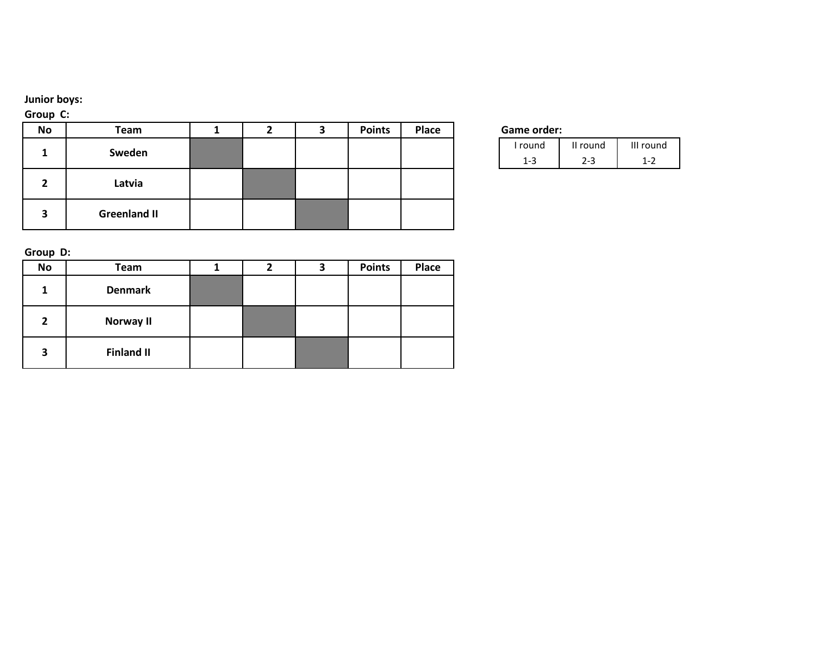## Junior boys:

## Group C:

| No | Team                |  | э | <b>Points</b> | Place | Game order: |
|----|---------------------|--|---|---------------|-------|-------------|
|    | Sweden              |  |   |               |       | I round     |
|    |                     |  |   |               |       | $1 - 3$     |
| 2  | Latvia              |  |   |               |       |             |
| 3  | <b>Greenland II</b> |  |   |               |       |             |

|  | <b>Game order:</b> |
|--|--------------------|
|--|--------------------|

| I round | II round | III round |
|---------|----------|-----------|
|         |          |           |

Group D:

| No             | <b>Team</b>       | 2 | 3 | <b>Points</b> | Place |
|----------------|-------------------|---|---|---------------|-------|
| 1.             | <b>Denmark</b>    |   |   |               |       |
| $\overline{2}$ | <b>Norway II</b>  |   |   |               |       |
| 3              | <b>Finland II</b> |   |   |               |       |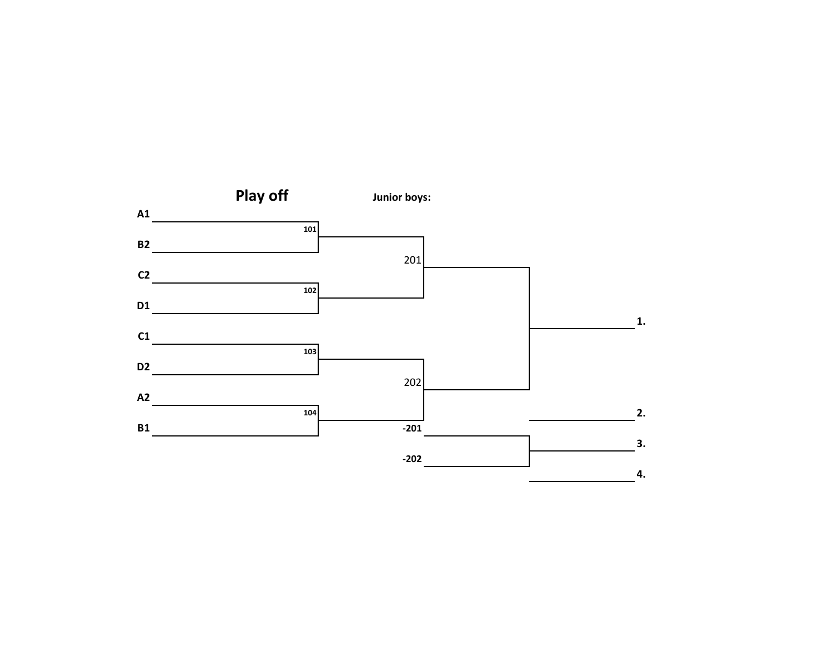